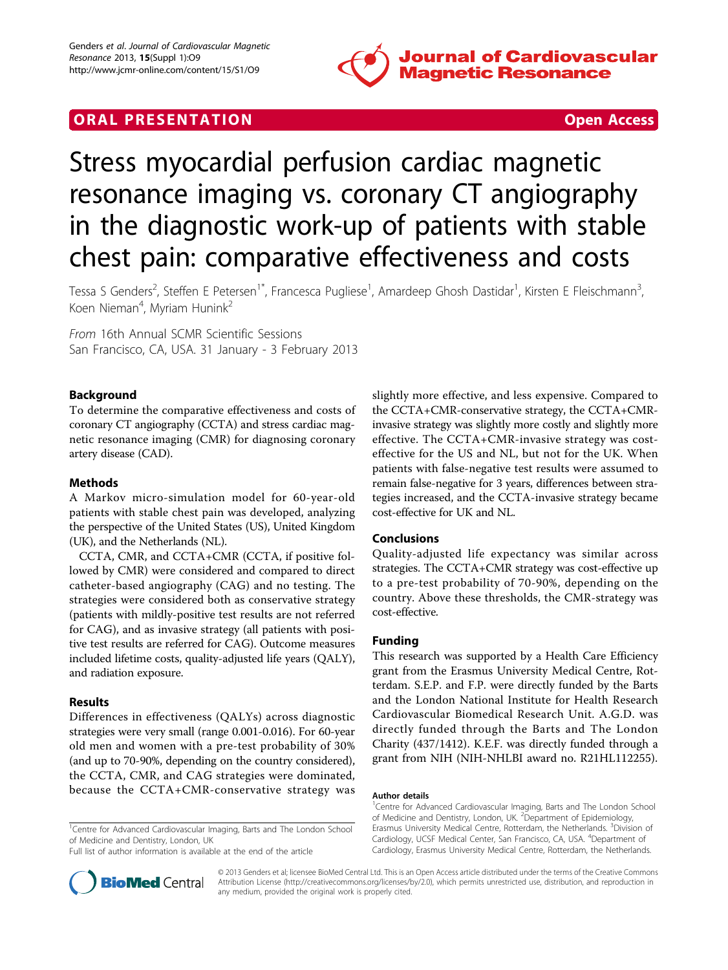

# ORAL PRESENTATION **ORAL PRESENTATION**



# Stress myocardial perfusion cardiac magnetic resonance imaging vs. coronary CT angiography in the diagnostic work-up of patients with stable chest pain: comparative effectiveness and costs

Tessa S Genders<sup>2</sup>, Steffen E Petersen<sup>1\*</sup>, Francesca Pugliese<sup>1</sup>, Amardeep Ghosh Dastidar<sup>1</sup>, Kirsten E Fleischmann<sup>3</sup> , Koen Nieman<sup>4</sup>, Myriam Hunink<sup>2</sup>

From 16th Annual SCMR Scientific Sessions San Francisco, CA, USA. 31 January - 3 February 2013

# Background

To determine the comparative effectiveness and costs of coronary CT angiography (CCTA) and stress cardiac magnetic resonance imaging (CMR) for diagnosing coronary artery disease (CAD).

### Methods

A Markov micro-simulation model for 60-year-old patients with stable chest pain was developed, analyzing the perspective of the United States (US), United Kingdom (UK), and the Netherlands (NL).

CCTA, CMR, and CCTA+CMR (CCTA, if positive followed by CMR) were considered and compared to direct catheter-based angiography (CAG) and no testing. The strategies were considered both as conservative strategy (patients with mildly-positive test results are not referred for CAG), and as invasive strategy (all patients with positive test results are referred for CAG). Outcome measures included lifetime costs, quality-adjusted life years (QALY), and radiation exposure.

### Results

Differences in effectiveness (QALYs) across diagnostic strategies were very small (range 0.001-0.016). For 60-year old men and women with a pre-test probability of 30% (and up to 70-90%, depending on the country considered), the CCTA, CMR, and CAG strategies were dominated, because the CCTA+CMR-conservative strategy was

<sup>1</sup>Centre for Advanced Cardiovascular Imaging, Barts and The London School of Medicine and Dentistry, London, UK

Full list of author information is available at the end of the article

slightly more effective, and less expensive. Compared to the CCTA+CMR-conservative strategy, the CCTA+CMRinvasive strategy was slightly more costly and slightly more effective. The CCTA+CMR-invasive strategy was costeffective for the US and NL, but not for the UK. When patients with false-negative test results were assumed to remain false-negative for 3 years, differences between strategies increased, and the CCTA-invasive strategy became cost-effective for UK and NL.

## Conclusions

Quality-adjusted life expectancy was similar across strategies. The CCTA+CMR strategy was cost-effective up to a pre-test probability of 70-90%, depending on the country. Above these thresholds, the CMR-strategy was cost-effective.

#### Funding

This research was supported by a Health Care Efficiency grant from the Erasmus University Medical Centre, Rotterdam. S.E.P. and F.P. were directly funded by the Barts and the London National Institute for Health Research Cardiovascular Biomedical Research Unit. A.G.D. was directly funded through the Barts and The London Charity (437/1412). K.E.F. was directly funded through a grant from NIH (NIH-NHLBI award no. R21HL112255).

#### Author details

<sup>1</sup>Centre for Advanced Cardiovascular Imaging, Barts and The London School of Medicine and Dentistry, London, UK. <sup>2</sup> Department of Epidemiology, Erasmus University Medical Centre, Rotterdam, the Netherlands. <sup>3</sup>Division of Cardiology, UCSF Medical Center, San Francisco, CA, USA. <sup>4</sup>Department of Cardiology, Erasmus University Medical Centre, Rotterdam, the Netherlands.



© 2013 Genders et al; licensee BioMed Central Ltd. This is an Open Access article distributed under the terms of the Creative Commons Attribution License [\(http://creativecommons.org/licenses/by/2.0](http://creativecommons.org/licenses/by/2.0)), which permits unrestricted use, distribution, and reproduction in any medium, provided the original work is properly cited.